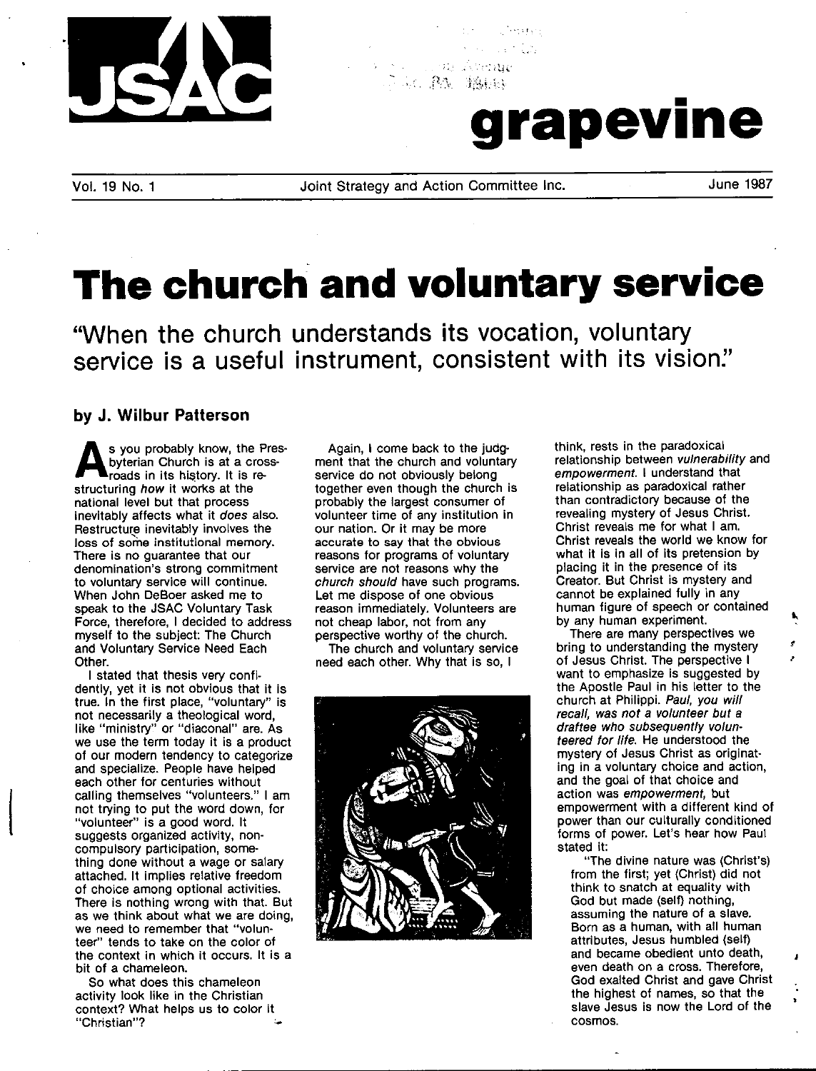

# **The church and voluntary service**

**"When the church understands its vocation, voluntary service is a useful instrument, consistent with its vision:'** 

# **by J. Wilbur Patterson**

s you probably know, the Pres-<br>byterian Church is at a cross-<br>roads in its history. It is rebyterian Church is at a cross·  $\blacktriangle$ roads in its history. It is restructuring how it works at the national level but that process inevitably affects what it does also. Restructure inevitably involves the loss of some institutional memory. There is no guarantee that our denomination's strong commitment to voluntary service will continue. When John DeBoer asked me to speak to the JSAC Voluntary Task Force, therefore, I decided to address myself to the subject: The Church and Voluntary Service Need Each Other.

I stated that thesis very confi. dently, yet it is not obvious that it is true. In the first place, "voluntary" is not necessarily a theological word, **like "ministry" or "dlaconal" are. As**  we use the term today it is a product of our modern tendency to categorize and specialize. People have helped each other for centuries without calling themselves "volunteers." I am not trying to put the word down, for "volunteer" is a good word. It suggests organized activity, non• compulsory participation, something done without a wage or salary attached. It implies relative freedom of choice among optional activities. There is nothing wrong with that. But as we think about what we are doing, we need to remember that "volun• teer" tends to take on the color of the context in which it occurs. It is a bit of a chameleon.

So what does this chameleon activity look like in the Christian context? What helps us to color it **"Christian"?** :.

Again, I come back to the judg• ment that the church and voluntary service do not obviously belong together even though the church is probably the largest consumer of volunteer time of any institution in our nation. Or it may be more **accurate to say that the obvious**  reasons for programs of voluntary service are not reasons why the church should have such programs. Let me dispose of one obvious reason immediately. Volunteers are not cheap labor, not from any perspective worthy of the church.

The church and voluntary service need each other. Why that is so, I



think, rests in the paradoxical relationship between vulnerability and empowerment. I understand that relationship as paradoxical rather than contradictory because of the revealing mystery of Jesus Christ. Christ reveals me for what I am. Christ reveals the world we know for what it is in all of its pretension by placing it in the presence of its Creator. But Christ is mystery and cannot be explained fully in any human figure of speech or contained by any human experiment.

There are many perspectives we bring to understanding the mystery of Jesus Christ. The perspective I want to emphasize is suggested by the Apostle Paul in his letter to the church at Philippi. Paul, you will recall, was not a volunteer but a draftee who subsequently volunteered for life. He understood the mystery of Jesus Christ as original• ing in a voluntary choice and action, and the goal of that choice and action was empowerment, but empowerment with a different kind of power than our culturally conditioned forms of power. Let's hear how Paul stated it:

,

"The divine nature was (Christ's) from the first; yet (Christ) did not think to snatch at equality with God but made (self} nothing, assuming the nature of a slave. Born as a human, with all human attributes, Jesus humbled (self) and became obedient unto death, even death on a cross. Therefore, God exalted Christ and gave Christ the highest of names, so that the slave Jesus is now the Lord of the cosmos.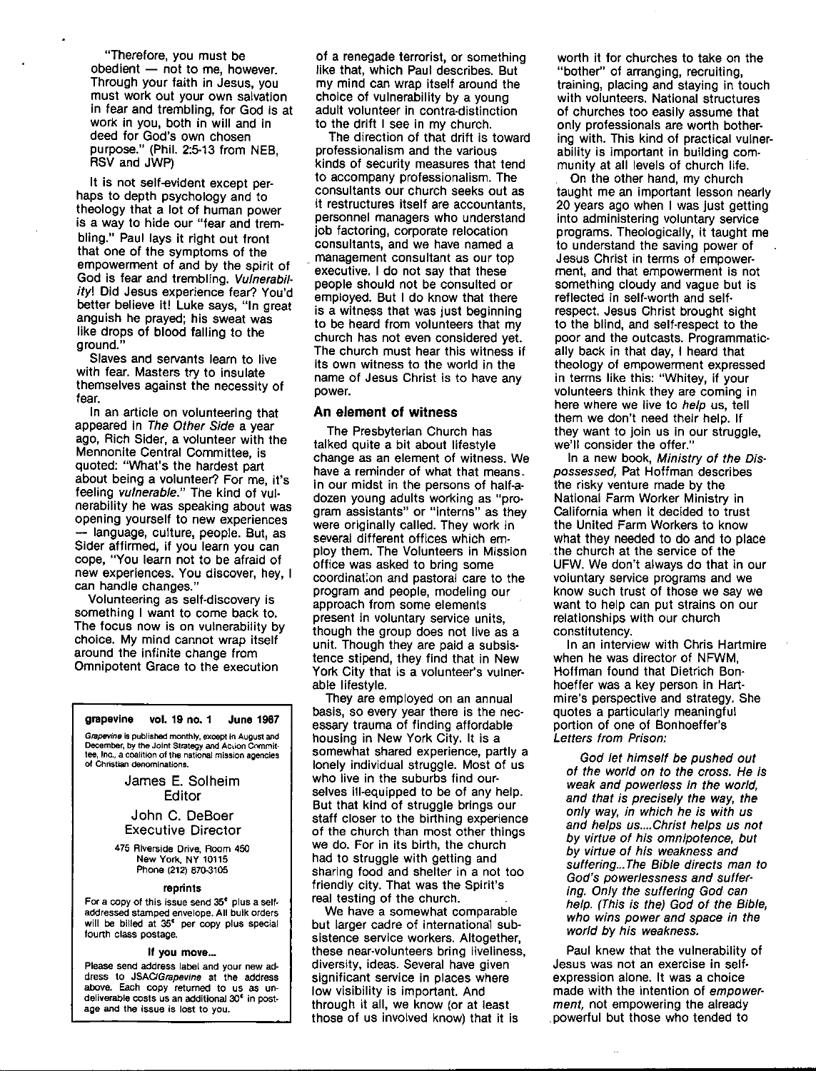"Therefore, you must be  $obedient - not to me, however.$ Through your faith in Jesus, you must work out your own salvation in fear and trembling, for God is at work in you, both in will and in deed for God's own chosen purpose." (Phil. 2:5-13 from NEB, RSV and JWP)

It is not self-evident except perhaps to depth psychology and to theology that a lot of human power is a way to hide our "fear and trembling." Paul lays it right out front that one of the symptoms of the empowerment of and by the spirit of God is fear and trembling. Vulnerability! Did Jesus experience fear? You'd better believe it! Luke says, "In great anguish he prayed; his sweat was like drops of blood falling to the ground."

Slaves and servants learn to live with fear. Masters try to insulate themselves against the necessity of fear.

In an article on volunteering that appeared in The Other Side a year ago, Rich Sider, a volunteer with the Mennonite Central Committee, is quoted: "What's the hardest part about being a volunteer? For me, it's feeling *vulnerable*." The kind of vulnerability he was speaking about was opening yourself to new experiences - language, culture, people. But, as Sider affirmed, if you learn you can cope, "You learn not to be afraid of new experiences. You discover, hey, I can handle changes."

Volunteering as self-discovery is something I want to come back to. The focus now is on vulnerability by choice. My mind cannot wrap itself around the infinite change from Omnipotent Grace to the execution



#### **475 Riverside Drive, Room 450 New York, NY 10115 Phone (212) 87o-3105**

### **reprints**

**For a copy of this issue send 35' plus a selfaddressed stamped envelope. All bulk orders will be billed at 35' per copy plus special fourth class postage.** 

#### **If you move ...**

**Please send address label and your new address to JSACIGrapevine at the address above. Each copy returned to us as undeliverable costs us an additional 30' in postage and the issue is lost to you.** 

of a renegade terrorist, or something like that, which Paul describes. But my mind can wrap itself around the choice of vulnerability by a young adult volunteer in contra-distinction to the drift I see in my church.

The direction of that drift is toward professionalism and the various kinds of security measures that tend to accompany professionalism. The consultants our church seeks out as it restructures itself are accountants, personnel managers who understand job factoring, corporate relocation consultants, and we have named a management consultant as our top executive. I do not say that these people should not be consulted or employed. But I do know that there is a witness that was just beginning to be heard from volunteers that my church has not even considered yet. The church must hear this witness if its own witness to the world in the name of Jesus Christ is to have any power.

## **An element of witness**

The Presbyterian Church has talked quite a bit about lifestyle change as an element of witness. We have a reminder of what that means. in our midst in the persons of half-adozen young adults working as "program assistants" or "interns" as they were originally called. They work in several different offices which employ them. The Volunteers in Mission office was asked to bring some coordinat:on and pastoral care to the program and people, modeling our approach from some elements present in voluntary service units, though the group does not live as a unit. Though they are paid a subsistence stipend, they find that in New York City that is a volunteer's vulnerable lifestyle.

They are employed on an annual basis, so every year there is the necessary trauma of finding affordable housing in New York City. It is a somewhat shared experience, partly a lonely individual struggle. Most of us who live in the suburbs find ourselves ill-equipped to be of any help. But that kind of struggle brings our staff closer to the birthing experience of the church than most other things we do. For in its birth, the church had to struggle with getting and sharing food and shelter in a not too friendly city. That was the Spirit's real testing of the church.

We have a somewhat comparable but larger cadre of international sub**sistence service workers. Altogether,**  these near-volunteers bring liveliness, diversity, ideas. Several have given significant service in places where low visibility is important. And through it all, we know (or at least those of us involved know) that it is

worth it for churches to take on the "bother" of arranging, recruiting, training, placing and staying in touch with volunteers. National structures of churches too easily assume that only professionals are worth bothering with. This kind of practical vulnerability is important in building community at all levels of church life.

On the other hand, my church taught me an important lesson nearly 20 years ago when I was just getting into administering voluntary service programs. Theologically, it taught me to understand the saving power of Jesus Christ in terms of empowerment, and that empowerment is not something cloudy and vague but is reflected in self-worth and selfrespect. Jesus Christ brought sight to the blind, and self-respect to the poor and the outcasts. Programmatically back in that day, I heard that theology of empowerment expressed in terms like this: "Whitey, if your volunteers think they are coming in here where we live to help us, tell them we don't need their help. If they want to join us in our struggle, we'll consider the offer."

In a new book, Ministry of the Dispossessed, Pat Hoffman describes the risky venture made by the National Farm Worker Ministry in California when it decided to trust the United Farm Workers to know what they needed to do and to place the church at the service of the UFW. We don't always do that in our voluntary service programs and we know such trust of those we say we want to help can put strains on our relationships with our church constitutency.

In an interview with Chris Hartmire when he was director of NFWM, Hoffman found that Dietrich Bonhoeffer was a key person in Hartmire's perspective and strategy. She quotes a particularly meaningful portion of one of Bonhoeffer's Letters from Prison:

God let himself be pushed out of the world on to the cross. He is weak and powerless in the world, and that is precisely the way, the only way, in which he is with us and helps us.... Christ helps us not by virtue of his omnipotence, but by virtue of his weakness and suffering...The Bible directs man to God's powerlessness and suffering. Only the suffering God can help. (This is the) God of the Bible, who wins power and space in the world by his weakness.

Paul knew that the vulnerability of Jesus was not an exercise in selfexpression alone. It was a choice made with the intention of empowerment, not empowering the already . powerful but those who tended to

i.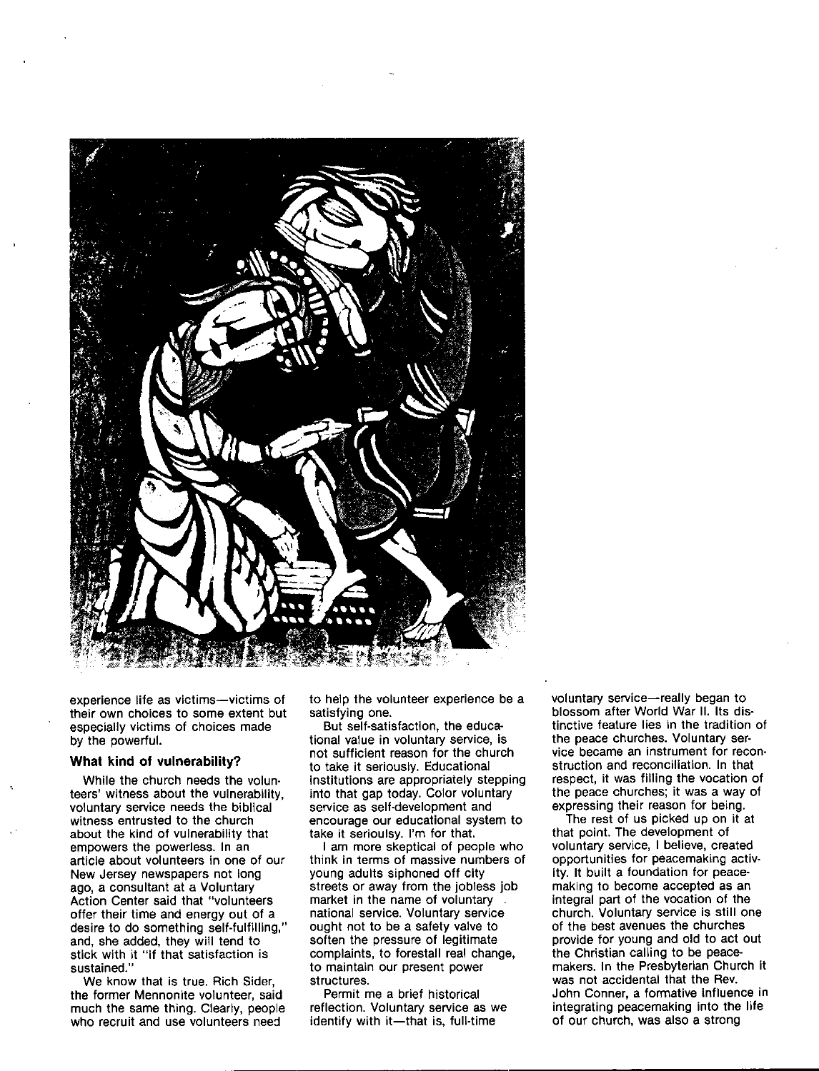

experience life as victims-victims of their own choices to some extent but especially victims of choices made by the powerful.

### **What kind of vulnerability?**

While the church needs the volunteers' witness about the vulnerability, voluntary service needs the biblical witness entrusted to the church about the kind of vulnerability that empowers the powerless. In an article about volunteers in one of our New Jersey newspapers not long ago, a consultant at a Voluntary Action Center said that "volunteers offer their time and energy out of a desire to do something self-fulfilling," and, she added, they will tend to stick with it "if that satisfaction is sustained."

We know that is true. Rich Sider, the former Mennonite volunteer, said much the same thing. Clearly, people who recruit and use volunteers need

to help the volunteer experience be a satisfying one.

But self-satisfaction, the educational value in voluntary service, is not sufficient reason for the church to take it seriously. Educational institutions are appropriately stepping into that gap today. Color voluntary service as self-development and encourage our educational system to take it serioulsy. I'm for that.

I am more skeptical of people who think in terms of massive numbers of young adults siphoned off city streets or away from the jobless job market in the name of voluntary national service. Voluntary service ought not to be a safety valve to soften the pressure of legitimate complaints, to forestall real change, to maintain our present power structures.

Permit me a brief historical reflection. Voluntary service as we identify with it-that is, full-time

voluntary service-really began to blossom after World War II. Its distinctive feature lies in the tradition of the peace churches. Voluntary ser**vice became an instrument for recon**struction and reconciliation. In that respect, it was filling the vocation of the peace churches; it was a way of expressing their reason for being.

The rest of us picked up on it at that point. The development of voluntary service, I believe, created opportunities for peacemaking activity. It built a foundation for peacemaking to become accepted as an integral part of the vocation of the church. Voluntary service is still one of the best avenues the churches provide for young and old to act out the Christian calling to be peacemakers. In the Presbyterian Church it was not accidental that the Rev. John Conner, a formative influence in integrating peacemaking into the life of our church, was also a strong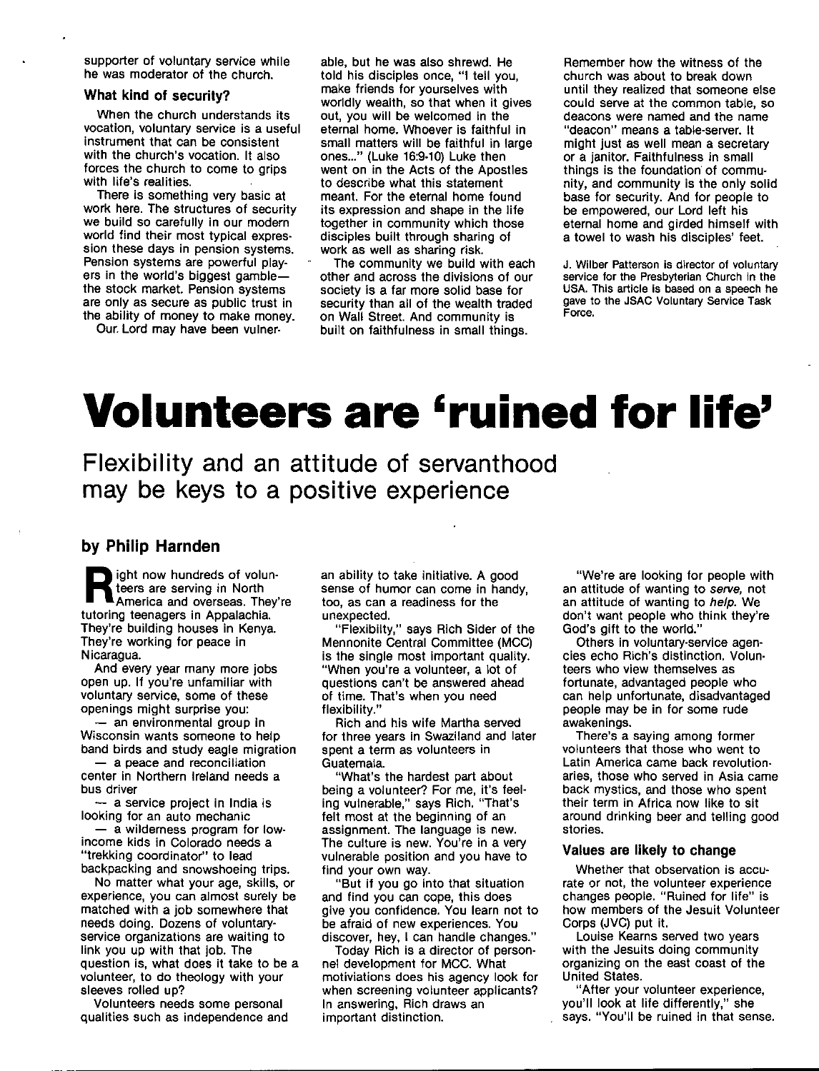supporter of voluntary service while he was moderator of the church.

### **What kind of security?**

When the church understands its vocation, voluntary service is a useful instrument that can be consistent with the church's vocation. It also forces the church to come to grips with life's realities.

There is something very basic at work here. The structures of security we build so carefully in our modern world find their most typical expression these days in pension systems. Pension systems are powerful players in the world's biggest gamblethe stock market. Pension systems are only as secure as public trust in the ability of money to make money.

Our. Lord may have been vulner-

able, but he was also shrewd. He told his disciples once, "I tell you, make friends for yourselves with worldly wealth, so that when it gives out, you will be welcomed in the eternal home. Whoever is faithful in small matters will be faithful in large ones..." (Luke 16:9-10) Luke then went on in the Acts of the Apostles to describe what this statement meant. For the eternal home found its expression and shape in the life together in community which those disciples built through sharing of work as well as sharing risk.

The community we build with each other and across the divisions of our society is a far more solid base for security than all of the wealth traded on Wall Street. And community is built on faithfulness in small things.

Remember how the witness of the church was about to break down until they realized that someone else could serve at the common table, so deacons were named and the name "deacon" means a table-server. It might just as well mean a secretary or a janitor. Faithfulness in small things is the foundation of community, and community is the only solid base for security. And for people to be empowered, our Lord left his eternal home and girded himself with a towel to wash his disciples' feet.

**J. Wilber Patterson is director of voluntary service for the Presbyterian Church in the USA. This article is based on a speech he gave to the JSAC Voluntary Service Task Force.** 

# **Volunteers are 'ruined for life'**

**Flexibility and an attitude of servanthood may be keys to a positive experience** 

# **by Philip Harnden**

**Right now hundreds of volunteers are serving in North America and overseas. They** teers are serving in North America and overseas. They're tutoring teenagers in Appalachia. They're building houses in Kenya. They're working for peace in Nicaragua.

And every year many more jobs open up. If you're unfamiliar with voluntary service, some of these openings might surprise you:

- an environmental group in Wisconsin wants someone to help band birds and study eagle migration

- **a peace and reconciliation**  center in Northern Ireland needs a **bus driver** 

- a service project in India is looking for an auto mechanic

- a wilderness program for lowincome kids in Colorado needs a "trekking coordinator" to lead backpacking and snowshoeing trips.

No matter what your age, skills, or experience, you can almost surely be matched with a job somewhere that needs doing. Dozens of voluntaryservice organizations are waiting to link you up with that job. The question is, what does it take to be a volunteer, to do theology with your sleeves rolled up?

Volunteers needs some personal qualities such as independence and an ability to take initiative. A good sense of humor can come in handy, too, as can a readiness for the unexpected.

"Flexibilty," says Rich Sider of the Mennonite Central Committee (MCC) is the single most important quality. "When you're a volunteer, a lot of questions can't be answered ahead of time. That's when you need flexibility."

Rich and his wife Martha served for three years in Swaziland and later spent a term as volunteers in Guatemala.

"What's the hardest part about being a volunteer? For me, it's feeling vulnerable," says Rich. "That's felt most at the beginning of an assignment. The language is new. The culture is new. You're in a very vulnerable position and you have to find your own way.

"But if you go into that situation and find you can cope, this does give you confidence. You learn not to be afraid of new experiences. You discover, hey, I can handle changes."

Today Rich is a director of personnel development for MCC. What motiviations does his agency look for when screening volunteer applicants? In answering, Rich draws an important distinction.

"We're are looking for people with an attitude of wanting to serve, not an attitude of wanting to help. We don't want people who think they're God's gift to the world."

Others in voluntary-service agencies echo Rich's distinction. Volunteers who view themselves as fortunate, advantaged people who can help unfortunate, disadvantaged people may be in for some rude awakenings.

There's a saying among former volunteers that those who went to Latin America came back revolutionaries, those who served in Asia came back mystics, and those who spent their term in Africa now like to sit around drinking beer and telling good **stories.** 

### **Values are likely to change**

Whether that observation is accu**rate or not, the volunteer experience**  changes people. "Ruined for life" is how members of the Jesuit Volunteer Corps (JVC) put it.

Louise Kearns served two years with the Jesuits doing community organizing on the east coast of the United States.

"After your volunteer experience, you'll look at life differently," she says. "You'll be ruined in that sense.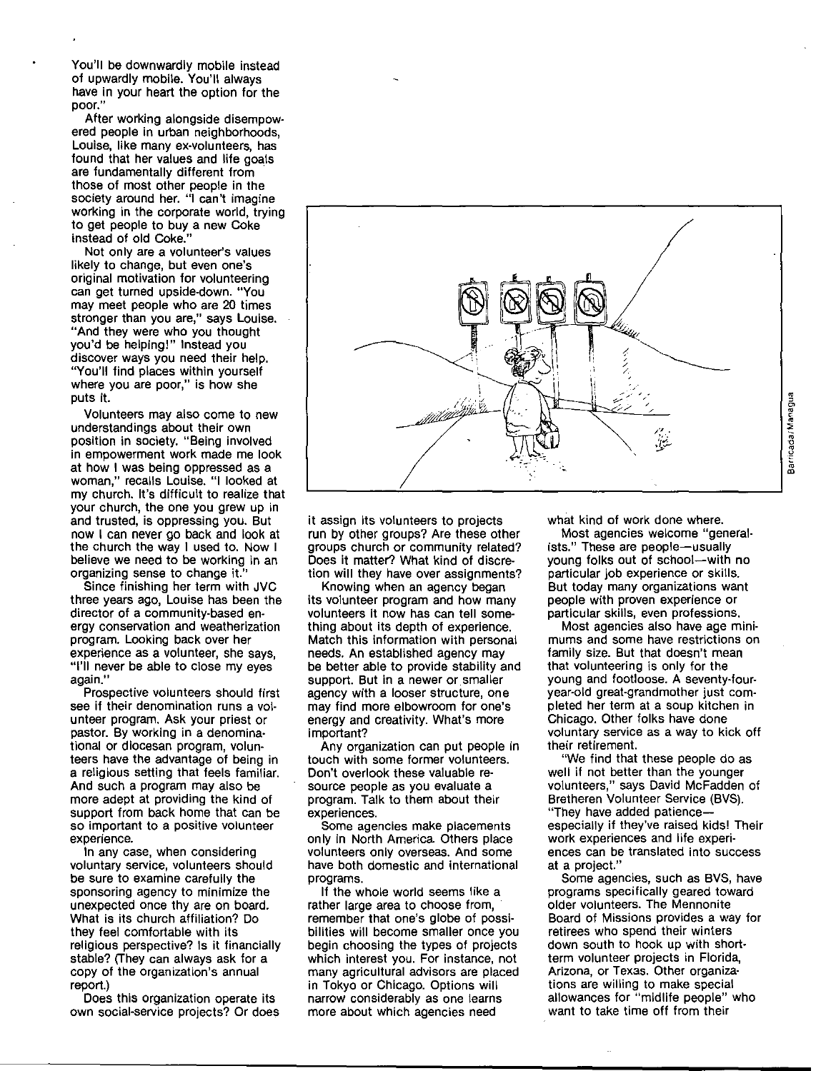You'll be downwardly mobile instead of upwardly mobile. You'll always have in your heart the option for the **poor."** 

After working alongside disempowered people in urban neighborhoods, Louise, like many ex-volunteers, has found that her values and life goals are fundamentally different from those of most other people in the society around her. "I can't imagine working in the corporate world, trying to get people to buy a new Coke instead of old Coke."

Not only are a volunteer's values likely to change, but even one's original motivation for volunteering can get turned upside-down. "You may meet people who are 20 times stronger than you are," says Louise. "And they were who you thought you'd be helping!" Instead you discover ways you need their help. "You'll find places within yourself where you are poor," is how she puts it.

Volunteers may also come to new understandings about their own position in society. "Being involved in empowerment work made me look at how I was being oppressed as a woman," recalls Louise. "I looked at my church. It's difficult to realize that your church, the one you grew up in and trusted, is oppressing you. But now I can never go back and look at the church the way I used to. Now I believe we need to be working in an organizing sense to change it."

Since finishing her term with JVC three years ago, Louise has been the director of a community-based energy conservation and weatherization program. Looking back over her experience as a volunteer, she says, "I'll never be able to close my eyes **again."** 

Prospective volunteers should first see if their denomination runs a volunteer program. Ask your priest or pastor. By working in a denominational or diocesan program, volunteers have the advantage of being in a religious setting that feels familiar. And such a program may also be more adept at providing the kind of support from back home that can be so important to a positive volunteer **experience.** 

In any case, when considering voluntary service, volunteers should be sure to examine carefully the sponsoring agency to minimize the unexpected once thy are on board. What is its church affiliation? Do they feel comfortable with its religious perspective? Is it financially stable? (They can always ask for a copy of the organization's annual report.)

Does this organization operate its own social-service projects? Or does



it assign its volunteers to projects run by other groups? Are these other groups church or community related? Does it matter? What kind of discretion will they have over assignments?

Knowing when an agency began its volunteer program and how many volunteers it now has can tell something about its depth of experience. Match this information with personal needs. An established agency may be better able to provide stability and support. But in a newer or smaller agency with a looser structure, one may find more elbowroom for one's energy and creativity. What's more important?

Any organization can put people in touch with some former volunteers. Don't overlook these valuable resource people as you evaluate a program. Talk to them about their **experiences.** 

**Some agencies make placements**  only in North America Others place volunteers only overseas. And some have both domestic and international programs.

If the whole world seems like a rather large area to choose from, remember that one's globe of possibilities will become smaller once you begin choosing the types of projects which interest you. For instance, not many agricultural advisors are placed in Tokyo or Chicago. Options will narrow considerably as one learns more about which agencies need

what kind of work done where.

Most agencies welcome "generalists." These are people-usually young folks out of school-with no particular job experience or skills. But today many organizations want people with proven experience or particular skills, even professions.

Most agencies also have age minimums and some have restrictions on family size. But that doesn't mean that volunteering is only for the young and footloose. A seventy-fouryear-old great-grandmother just completed her term at a soup kitchen in Chicago. Other folks have done voluntary service as a way to kick off their retirement.

"We find that these people do as well if not better than the younger volunteers," says David McFadden of Bretheren Volunteer Service (BVS). "They have added patienceespecially if they've raised kids! Their work experiences and life experiences can be translated into success at a project."

Some agencies, such as BVS, have programs specifically geared toward older volunteers. The Mennonite Board of Missions provides a way for retirees who spend their winters down south to hook up with shortterm volunteer projects in Florida, Arizona, or Texas. Other organizations are willing to make special allowances for "midlife people" who want to take time off from their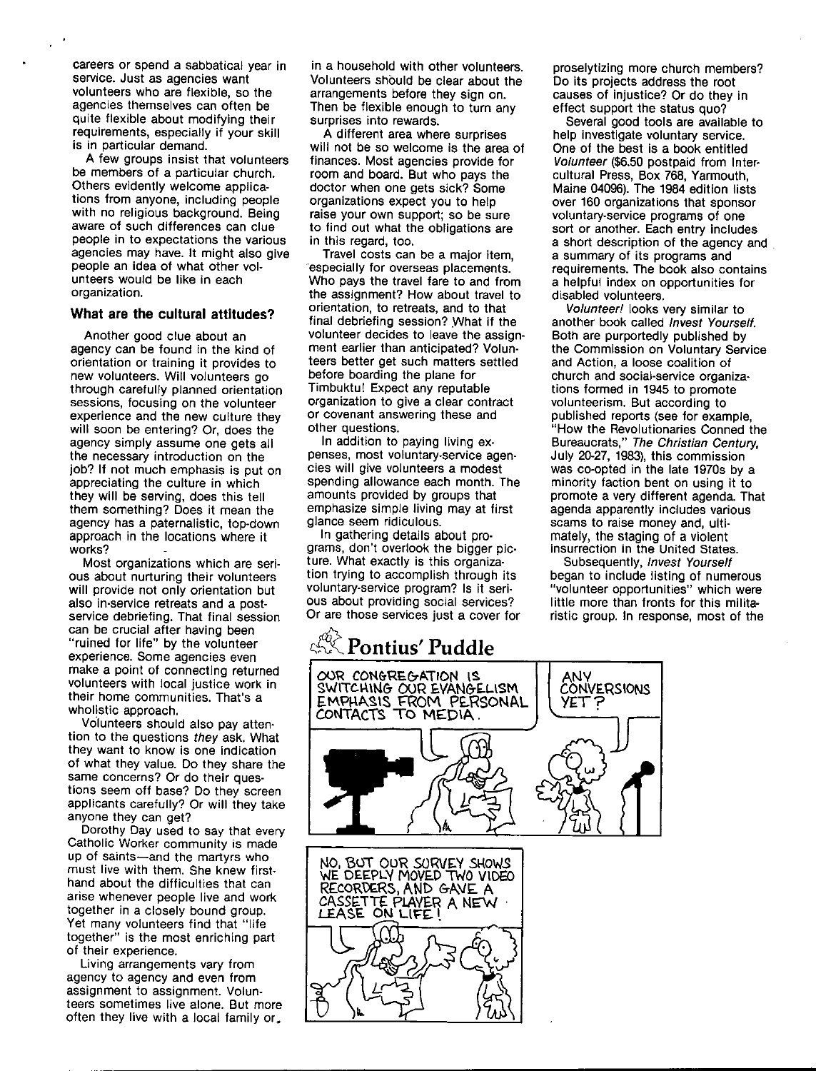careers or spend a sabbatical year in service. Just as agencies want volunteers who are flexible, so the agencies themselves can often be quite flexible about modifying their requirements, especially if your skill is in particular demand.

A few groups insist that volunteers be members of a particular church. Others evidently welcome applications from anyone, including people with no religious background. Being aware of such differences can clue people in to expectations the various agencies may have. It might also give people an idea of what other volunteers would be like in each **organization.** 

### **What are the cultural attitudes?**

Another good clue about an agency can be found in the kind of orientation or training it provides to new volunteers. Will volunteers go through carefully planned orientation **sessions, focusing on the volunteer**  experience and the new culture they will soon be entering? Or, does the agency simply assume one gets all the necessary introduction on the iob? If not much emphasis is put on appreciating the culture in which they will be serving, does this tell them something? Does it mean the agency has a paternalistic, top-down approach in the locations where it **works?** 

Most organizations which are serious about nurturing their volunteers will provide not only orientation but also in-service retreats and a postservice debriefing. That final session can be crucial after having been "ruined for life" by the volunteer experience. Some agencies even make a point of connecting returned volunteers with local justice work in their home communities. That's a wholistic approach.

Volunteers should also pay attention to the questions they ask. What they want to know is one indication of what they value. Do they share the same concerns? Or do their questions seem off base? Do they screen applicants carefully? Or will they take anyone they can get?

Dorothy Day used to say that every Catholic Worker community is made up of saints-and the martyrs who must live with them. She knew firsthand about the difficulties that can arise whenever people live and work together in a closely bound group. Yet many volunteers find that "life together" is the most enriching part of their experience.

Living arrangements vary from agency to agency and even from assignment to assignment. Volun**teers sometimes live alone. But more**  often they live with a local family or. in a household with other volunteers. Volunteers should be clear about the arrangements before they sign on. Then be flexible enough to turn any **surprises into rewards.** 

A different area where surprises will not be so welcome is the area of finances. Most agencies provide for room and board. But who pays the doctor when one gets sick? Some organizations expect you to help raise your own support; so be sure to find out what the obligations are in this regard, too.

Travel costs can be a major item, especially for overseas placements. Who pays the travel fare to and from the assignment? How about travel to orientation, to retreats, and to that final debriefing session? What if the volunteer decides to leave the assignment earlier than anticipated? Volunteers better get such matters settled before boarding the plane for Timbuktu! Expect any reputable organization to give a clear contract or covenant answering these and other questions.

In addition to paying living expenses, most voluntary-service agencies will give volunteers a modest spending allowance each month. The amounts provided by groups that emphasize simple living may at first **glance seem ridiculous.** 

In gathering details about programs, don't overlook the bigger picture. What exactly is this organization trying to accomplish through its voluntary-service program? Is it serious about providing social services? Or are those services just a cover for

**[,~Pontius' Puddle** 

proselytizing more church members? Do its projects address the root causes of injustice? Or do they in effect support the status quo?

Several good tools are available to help investigate voluntary service. One of the best is a book entitled Volunteer (\$6.50 postpaid from Intercultural Press, Box 768, Yarmouth, Maine 04096). The 1984 edition lists over 160 organizations that sponsor voluntary-service programs of one sort or another. Each entry includes a short description of the agency and a summary of its programs and requirements. The book also contains a helpful index on opportunities for disabled volunteers.

Volunteer! looks very similar to another book called Invest Yourself. Both are purportedly published by the Commission on Voluntary Service and Action, a loose coalition of church and social-service organizations formed in 1945 to promote volunteerism. But according to published reports (see for example, "How the Revolutionaries Conned the Bureaucrats," The Christian Century, July 20-27, 1983), this commission was co-opted in the late 1970s by a minority faction bent on using it to promote a very different agenda. That agenda apparently includes various **scams to raise money and, ulti**mately, the staging of a violent **insurrection in the United States.** 

Subsequently, Invest Yourself began to include listing of numerous "volunteer opportunities" which were little more than fronts for this militaristic group. In response, most of the

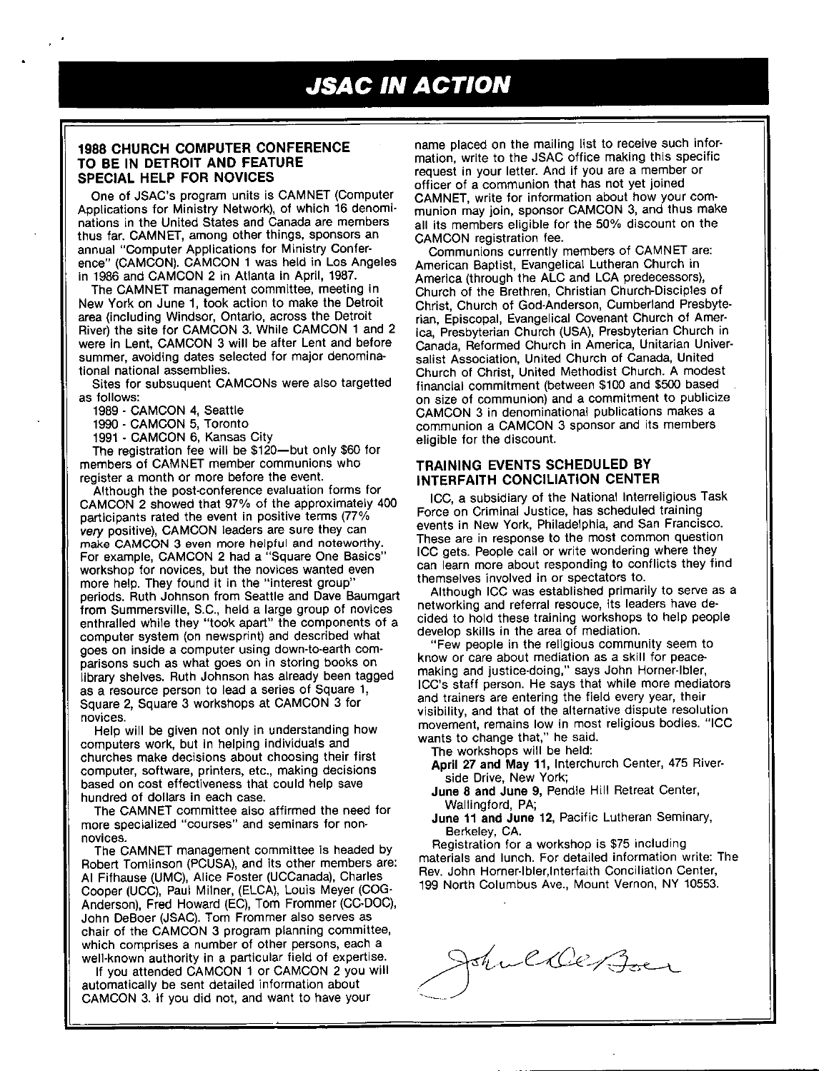## **1988 CHURCH COMPUTER CONFERENCE TO BE IN DETROIT AND FEATURE SPECIAL HELP FOR NOVICES**

One of JSAC's program units is CAM NET (Computer Applications for Ministry Network), of which 16 denominations in the United States and Canada are members thus far. CAMNET, among other things, sponsors an annual "Computer Applications for Ministry Conference" (CAMCON). CAMCON 1 was held in Los Angeles in 1986 and CAMCON 2 in Atlanta in April, 1987.

The CAMNET management committee, meeting in New York on June 1, took action to make the Detroit area (including Windsor, Ontario, across the Detroit River) the site for CAMCON 3. While CAMCON 1 and 2 were in Lent, CAMCON 3 will be after Lent and before summer, avoiding dates selected for major denominational national assemblies.

Sites for subsuquent CAMCONs were also targetted as follows:

1989 · CAMCON 4, Seattle

1990 · CAMCON 5, Toronto

1991 - CAMCON 6, Kansas City

The registration fee will be \$120-but only \$60 for members of CAMNET member communions who register a month or more before the event.

Although the post-conference evaluation forms for CAMCON 2 showed that 97% of the approximately 400 participants rated the event in positive terms (77% very positive), CAMCON leaders are sure they can make CAMCON 3 even more helpful and noteworthy. For example, CAMCON 2 had a "Square One Basics" workshop for novices, but the novices wanted even more help. They found it in the "interest group" periods. Ruth Johnson from Seattle and Dave Baumgart from Summersville, S.C., held a large group of novices enthralled while they "took apart" the components of a computer system (on newsprint) and described what goes on inside a computer using down-to-earth comparisons such as what goes on in storing books on library shelves. Ruth Johnson has already been tagged as a resource person to lead a series of Square 1, Square 2, Square 3 workshops at CAMCON 3 for novices.

Help will be given not only in understanding how computers work, but in helping individuals and churches make decisions about choosing their first computer, software, printers, etc., making decisions based on cost effectiveness that could help save hundred of dollars in each case.

The CAMNET committee also affirmed the need for more specialized "courses" and seminars for nonnovices.

The CAMNET management committee is headed by Robert Tomlinson (PCUSA), and its other members are: Al Fifhause (UMC), Alice Foster (UCCanada), Charles Cooper (UCC), Paul Milner, (ELGA), Louis Meyer (COG· Anderson), Fred Howard (EC), Tom Frommer (CC-DOC), John DeBoer (JSAC). Tom Frommer also serves as chair of the CAMCON 3 program planning committee, which comprises a number of other persons, each a well-known authority in a particular field of expertise.

If you attended CAMCON 1 or CAMCON 2 you will automatically be sent detailed information about CAMCON 3. If you did not, and want to have your

name placed on the mailing list to receive such information, write to the JSAC office making this specific request in your letter. And if you are a member or officer of a communion that has not yet joined CAMNET, write for information about how your communion may join, sponsor CAMCON 3, and thus make all its members eligible for the 50% discount on the CAMCON registration fee.

Communions currently members of CAMNET are: American Baptist, Evangelical Lutheran Church in America (through the ALC and LCA predecessors), Church of the Brethren, Christian Church-Disciples of Christ, Church of God-Anderson, Cumberland Presbyterian, Episcopal, Evangelical Covenant Church of America, Presbyterian Church (USA), Presbyterian Church in Canada, Reformed Church in America, Unitarian Universalist Association, United Church of Canada, United Church of Christ, United Methodist Church. A modest financial commitment (between \$100 and \$500 based on size of communion) and a commitment to publicize CAMCON 3 in denominational publications makes a communion a CAMCON 3 sponsor and its members eligible for the discount.

## **TRAINING EVENTS SCHEDULED BY INTERFAITH CONCILIATION CENTER**

ICC, a subsidiary of the National lnterreligious Task Force on Criminal Justice, has scheduled training events in New York, Philadelphia, and San Francisco. These are in response to the most common question ICC gets. People call or write wondering where they can learn more about responding to conflicts they find themselves involved in or spectators to.

Although ICC was established primarily to serve as a networking and referral resouce, its leaders have decided to hold these training workshops to help people develop skills in the area of mediation.

"Few people in the religious community seem to know or care about mediation as a skill for peacemaking and justice-doing," says John Horner-lbler, ICC's staff person. He says that while more mediators and trainers are entering the field every year, their visibility, and that of the alternative dispute resolution movement, remains low in most religious bodies. "ICC wants to change that," he said.

The workshops will be held:

- **April 27 and May 11,** lnterchurch Center, 475 Riverside Drive, New York;
- June 8 and June 9, Pendle Hill Retreat Center, Wallingford, PA;
- June 11 and June 12, Pacific Lutheran Seminary, Berkeley, CA.

Registration for a workshop is \$75 including materials and lunch. For detailed information write: The Rev. John Horner-lbler,lnterfaith Conciliation Center, 199 North Columbus Ave., Mount Vernon, NY 10553.

John Clergoen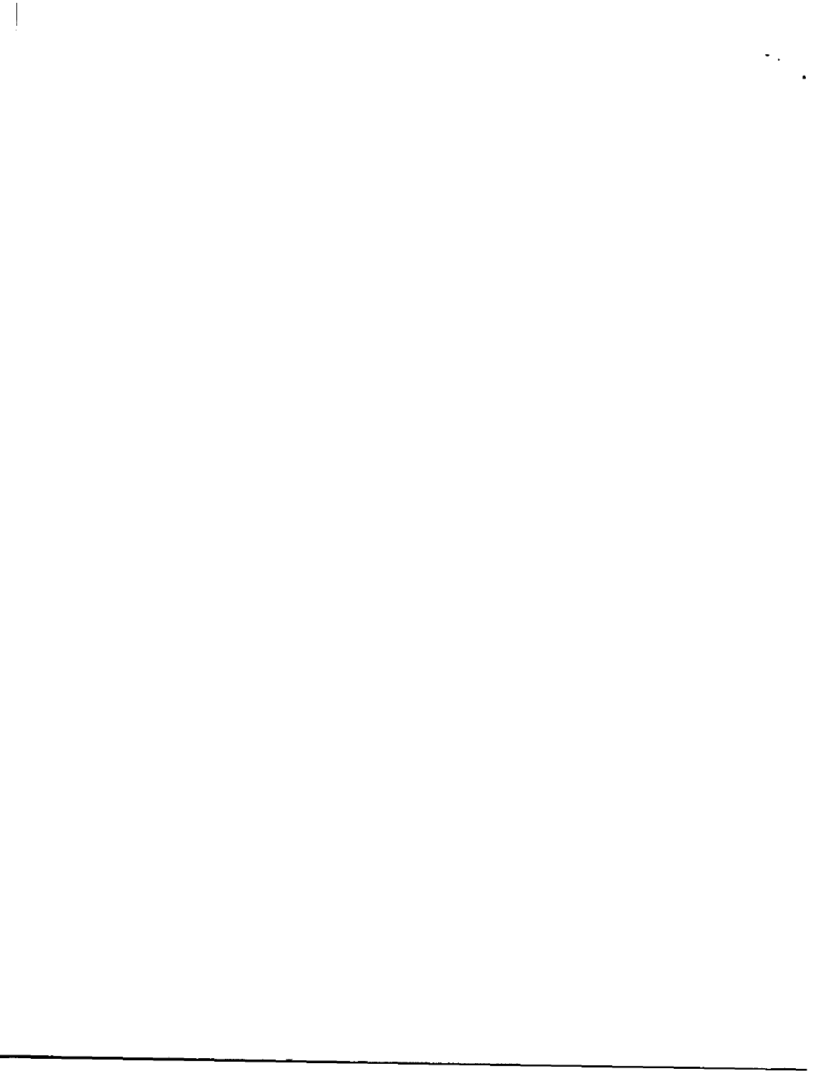